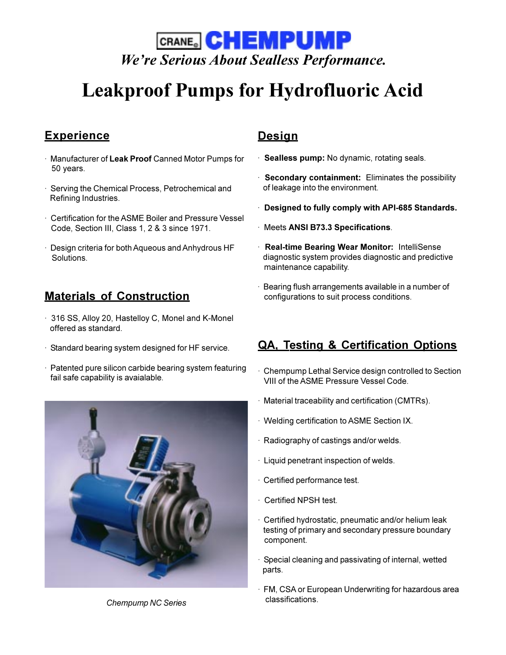

# **Leakproof Pumps for Hydrofluoric Acid**

# **Experience**

- · Manufacturer of **Leak Proof** Canned Motor Pumps for 50 years.
- · Serving the Chemical Process, Petrochemical and Refining Industries.
- · Certification for the ASME Boiler and Pressure Vessel Code, Section III, Class 1, 2 & 3 since 1971.
- · Design criteria for both Aqueous and Anhydrous HF Solutions.

- · 316 SS, Alloy 20, Hastelloy C, Monel and K-Monel offered as standard.
- · Standard bearing system designed for HF service.
- · Patented pure silicon carbide bearing system featuring fail safe capability is avaialable.



*Chempump NC Series*

### **Design**

- · **Sealless pump:** No dynamic, rotating seals.
- · **Secondary containment:** Eliminates the possibility of leakage into the environment.
- · **Designed to fully comply with API-685 Standards.**
- · Meets **ANSI B73.3 Specifications**.
- · **Real-time Bearing Wear Monitor:** IntelliSense diagnostic system provides diagnostic and predictive maintenance capability.
- Bearing flush arrangements available in a number of **Materials of Construction** configurations to suit process conditions.

## **QA, Testing & Certification Options**

- Chempump Lethal Service design controlled to Section VIII of the ASME Pressure Vessel Code.
- · Material traceability and certification (CMTRs).
- · Welding certification to ASME Section IX.
- · Radiography of castings and/or welds.
- · Liquid penetrant inspection of welds.
- · Certified performance test.
- · Certified NPSH test.
- · Certified hydrostatic, pneumatic and/or helium leak testing of primary and secondary pressure boundary component.
- · Special cleaning and passivating of internal, wetted parts.
- · FM, CSA or European Underwriting for hazardous area classifications.